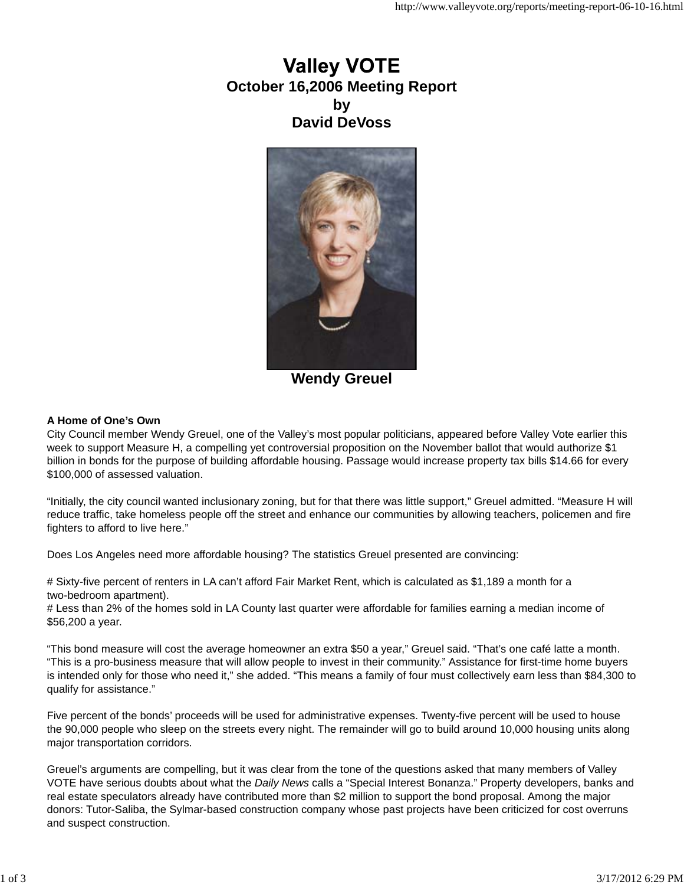# **Valley VOTE October 16,2006 Meeting Report by David DeVoss**



**Wendy Greuel**

# **A Home of One's Own**

City Council member Wendy Greuel, one of the Valley's most popular politicians, appeared before Valley Vote earlier this week to support Measure H, a compelling yet controversial proposition on the November ballot that would authorize \$1 billion in bonds for the purpose of building affordable housing. Passage would increase property tax bills \$14.66 for every \$100,000 of assessed valuation.

"Initially, the city council wanted inclusionary zoning, but for that there was little support," Greuel admitted. "Measure H will reduce traffic, take homeless people off the street and enhance our communities by allowing teachers, policemen and fire fighters to afford to live here."

Does Los Angeles need more affordable housing? The statistics Greuel presented are convincing:

# Sixty-five percent of renters in LA can't afford Fair Market Rent, which is calculated as \$1,189 a month for a two-bedroom apartment).

# Less than 2% of the homes sold in LA County last quarter were affordable for families earning a median income of \$56,200 a year.

"This bond measure will cost the average homeowner an extra \$50 a year," Greuel said. "That's one café latte a month. "This is a pro-business measure that will allow people to invest in their community." Assistance for first-time home buyers is intended only for those who need it," she added. "This means a family of four must collectively earn less than \$84,300 to qualify for assistance."

Five percent of the bonds' proceeds will be used for administrative expenses. Twenty-five percent will be used to house the 90,000 people who sleep on the streets every night. The remainder will go to build around 10,000 housing units along major transportation corridors.

Greuel's arguments are compelling, but it was clear from the tone of the questions asked that many members of Valley VOTE have serious doubts about what the *Daily News* calls a "Special Interest Bonanza." Property developers, banks and real estate speculators already have contributed more than \$2 million to support the bond proposal. Among the major donors: Tutor-Saliba, the Sylmar-based construction company whose past projects have been criticized for cost overruns and suspect construction.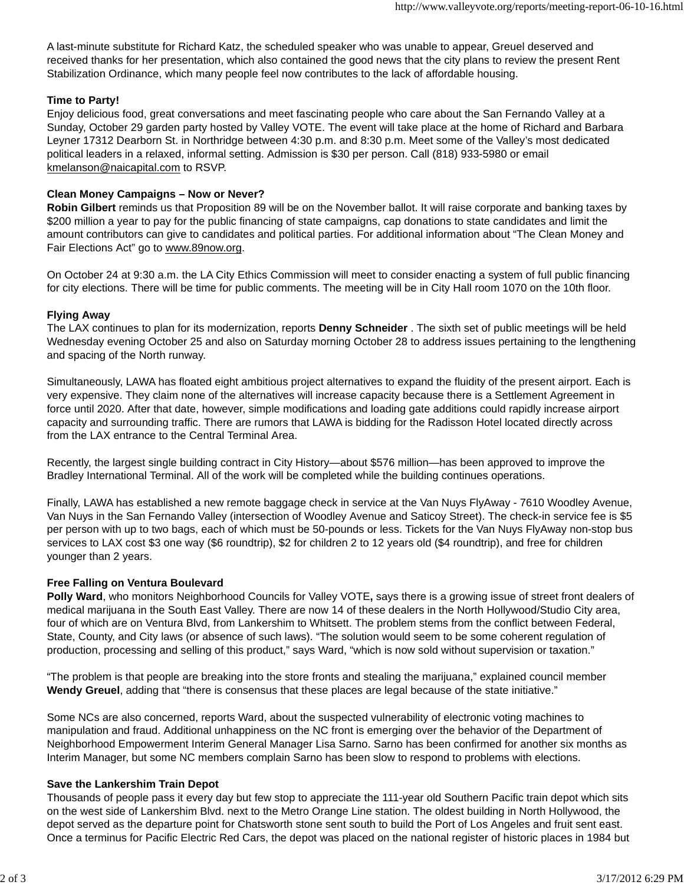A last-minute substitute for Richard Katz, the scheduled speaker who was unable to appear, Greuel deserved and received thanks for her presentation, which also contained the good news that the city plans to review the present Rent Stabilization Ordinance, which many people feel now contributes to the lack of affordable housing.

### **Time to Party!**

Enjoy delicious food, great conversations and meet fascinating people who care about the San Fernando Valley at a Sunday, October 29 garden party hosted by Valley VOTE. The event will take place at the home of Richard and Barbara Leyner 17312 Dearborn St. in Northridge between 4:30 p.m. and 8:30 p.m. Meet some of the Valley's most dedicated political leaders in a relaxed, informal setting. Admission is \$30 per person. Call (818) 933-5980 or email kmelanson@naicapital.com to RSVP.

# **Clean Money Campaigns – Now or Never?**

**Robin Gilbert** reminds us that Proposition 89 will be on the November ballot. It will raise corporate and banking taxes by \$200 million a year to pay for the public financing of state campaigns, cap donations to state candidates and limit the amount contributors can give to candidates and political parties. For additional information about "The Clean Money and Fair Elections Act" go to www.89now.org.

On October 24 at 9:30 a.m. the LA City Ethics Commission will meet to consider enacting a system of full public financing for city elections. There will be time for public comments. The meeting will be in City Hall room 1070 on the 10th floor.

# **Flying Away**

The LAX continues to plan for its modernization, reports **Denny Schneider** . The sixth set of public meetings will be held Wednesday evening October 25 and also on Saturday morning October 28 to address issues pertaining to the lengthening and spacing of the North runway.

Simultaneously, LAWA has floated eight ambitious project alternatives to expand the fluidity of the present airport. Each is very expensive. They claim none of the alternatives will increase capacity because there is a Settlement Agreement in force until 2020. After that date, however, simple modifications and loading gate additions could rapidly increase airport capacity and surrounding traffic. There are rumors that LAWA is bidding for the Radisson Hotel located directly across from the LAX entrance to the Central Terminal Area.

Recently, the largest single building contract in City History—about \$576 million—has been approved to improve the Bradley International Terminal. All of the work will be completed while the building continues operations.

Finally, LAWA has established a new remote baggage check in service at the Van Nuys FlyAway - 7610 Woodley Avenue, Van Nuys in the San Fernando Valley (intersection of Woodley Avenue and Saticoy Street). The check-in service fee is \$5 per person with up to two bags, each of which must be 50-pounds or less. Tickets for the Van Nuys FlyAway non-stop bus services to LAX cost \$3 one way (\$6 roundtrip), \$2 for children 2 to 12 years old (\$4 roundtrip), and free for children younger than 2 years.

#### **Free Falling on Ventura Boulevard**

**Polly Ward**, who monitors Neighborhood Councils for Valley VOTE**,** says there is a growing issue of street front dealers of medical marijuana in the South East Valley. There are now 14 of these dealers in the North Hollywood/Studio City area, four of which are on Ventura Blvd, from Lankershim to Whitsett. The problem stems from the conflict between Federal, State, County, and City laws (or absence of such laws). "The solution would seem to be some coherent regulation of production, processing and selling of this product," says Ward, "which is now sold without supervision or taxation."

"The problem is that people are breaking into the store fronts and stealing the marijuana," explained council member **Wendy Greuel**, adding that "there is consensus that these places are legal because of the state initiative."

Some NCs are also concerned, reports Ward, about the suspected vulnerability of electronic voting machines to manipulation and fraud. Additional unhappiness on the NC front is emerging over the behavior of the Department of Neighborhood Empowerment Interim General Manager Lisa Sarno. Sarno has been confirmed for another six months as Interim Manager, but some NC members complain Sarno has been slow to respond to problems with elections.

#### **Save the Lankershim Train Depot**

Thousands of people pass it every day but few stop to appreciate the 111-year old Southern Pacific train depot which sits on the west side of Lankershim Blvd. next to the Metro Orange Line station. The oldest building in North Hollywood, the depot served as the departure point for Chatsworth stone sent south to build the Port of Los Angeles and fruit sent east. Once a terminus for Pacific Electric Red Cars, the depot was placed on the national register of historic places in 1984 but